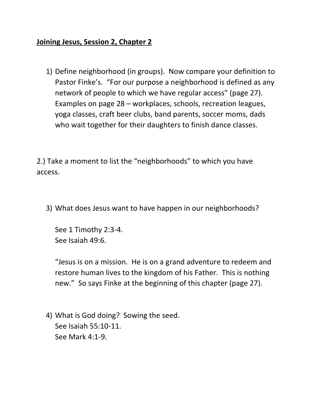## **Joining Jesus, Session 2, Chapter 2**

1) Define neighborhood (in groups). Now compare your definition to Pastor Finke's. "For our purpose a neighborhood is defined as any network of people to which we have regular access" (page 27). Examples on page 28 – workplaces, schools, recreation leagues, yoga classes, craft beer clubs, band parents, soccer moms, dads who wait together for their daughters to finish dance classes.

2.) Take a moment to list the "neighborhoods" to which you have access.

3) What does Jesus want to have happen in our neighborhoods?

See 1 Timothy 2:3-4. See Isaiah 49:6.

"Jesus is on a mission. He is on a grand adventure to redeem and restore human lives to the kingdom of his Father. This is nothing new." So says Finke at the beginning of this chapter (page 27).

4) What is God doing? Sowing the seed. See Isaiah 55:10-11. See Mark 4:1-9.